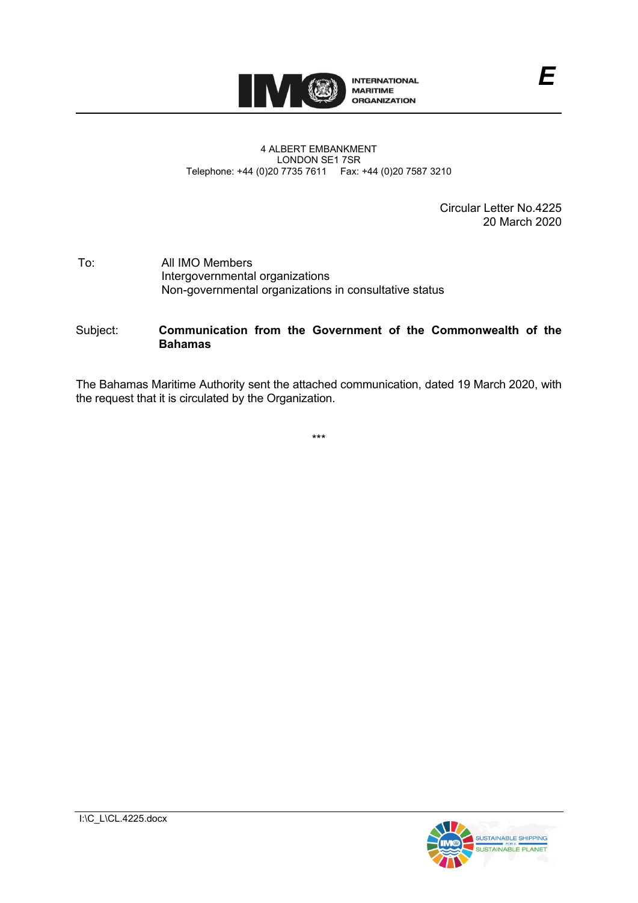

#### 4 ALBERT EMBANKMENT LONDON SE1 7SR Telephone: +44 (0)20 7735 7611 Fax: +44 (0)20 7587 3210

Circular Letter No.4225 20 March 2020

#### To: All IMO Members Intergovernmental organizations Non-governmental organizations in consultative status

# Subject: **Communication from the Government of the Commonwealth of the Bahamas**

The Bahamas Maritime Authority sent the attached communication, dated 19 March 2020, with the request that it is circulated by the Organization.

\*\*\*

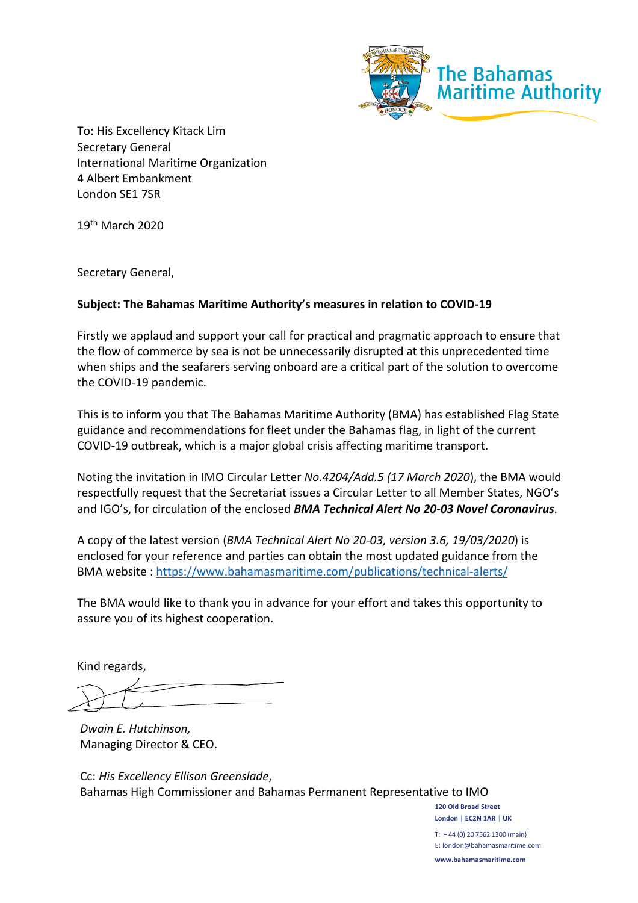

To: His Excellency Kitack Lim Secretary General International Maritime Organization 4 Albert Embankment London SE1 7SR

19th March 2020

Secretary General,

# **Subject: The Bahamas Maritime Authority's measures in relation to COVID-19**

Firstly we applaud and support your call for practical and pragmatic approach to ensure that the flow of commerce by sea is not be unnecessarily disrupted at this unprecedented time when ships and the seafarers serving onboard are a critical part of the solution to overcome the COVID-19 pandemic.

This is to inform you that The Bahamas Maritime Authority (BMA) has established Flag State guidance and recommendations for fleet under the Bahamas flag, in light of the current COVID-19 outbreak, which is a major global crisis affecting maritime transport.

Noting the invitation in IMO Circular Letter *No.4204/Add.5 (17 March 2020*), the BMA would respectfully request that the Secretariat issues a Circular Letter to all Member States, NGO's and IGO's, for circulation of the enclosed *BMA Technical Alert No 20-03 Novel Coronavirus*.

A copy of the latest version (*BMA Technical Alert No 20-03, version 3.6, 19/03/2020*) is enclosed for your reference and parties can obtain the most updated guidance from the BMA website :<https://www.bahamasmaritime.com/publications/technical-alerts/>

The BMA would like to thank you in advance for your effort and takes this opportunity to assure you of its highest cooperation.

Kind regards,

*Dwain E. Hutchinson,*  Managing Director & CEO.

Cc: *His Excellency Ellison Greenslade*, Bahamas High Commissioner and Bahamas Permanent Representative to IMO

> **London | EC2N 1AR | UK**  T: + 44 (0) 20 7562 1300 (main) E: london@bahamasmaritime.com **www.bahamasmaritime.com**

**120 Old Broad Street**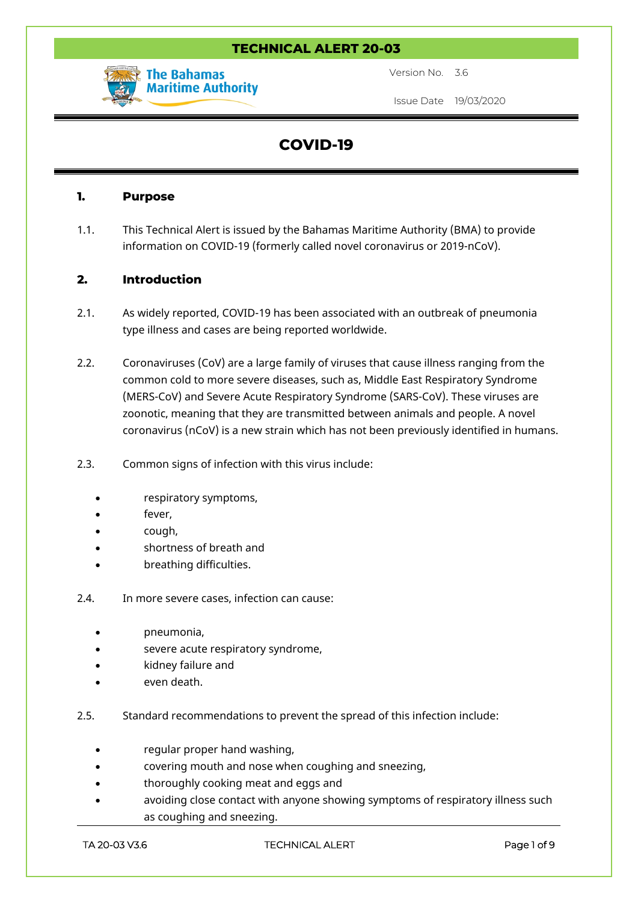# **TECHNICAL ALERT 20-03**



Version No. 3.6

Issue Date 19/03/2020

# **COVID-19**

#### **1. Purpose**

1.1. This Technical Alert is issued by the Bahamas Maritime Authority (BMA) to provide information on COVID-19 (formerly called novel coronavirus or 2019-nCoV).

# **2. Introduction**

- 2.1. As widely reported, COVID-19 has been associated with an outbreak of pneumonia type illness and cases are being reported worldwide.
- 2.2. Coronaviruses (CoV) are a large family of viruses that cause illness ranging from the common cold to more severe diseases, such as, Middle East Respiratory Syndrome (MERS-CoV) and Severe Acute Respiratory Syndrome (SARS-CoV). These viruses are zoonotic, meaning that they are transmitted between animals and people. A novel coronavirus (nCoV) is a new strain which has not been previously identified in humans.
- 2.3. Common signs of infection with this virus include:
	- respiratory symptoms,
	- fever,
	- cough,
	- shortness of breath and
	- breathing difficulties.
- 2.4. In more severe cases, infection can cause:
	- pneumonia,
	- severe acute respiratory syndrome,
	- kidney failure and
	- even death.
- 2.5. Standard recommendations to prevent the spread of this infection include:
	- regular proper hand washing,
	- covering mouth and nose when coughing and sneezing,
	- thoroughly cooking meat and eggs and
	- avoiding close contact with anyone showing symptoms of respiratory illness such as coughing and sneezing.

**TA 20-03 V3.6 TECHNICAL ALERT Page 1 of 9**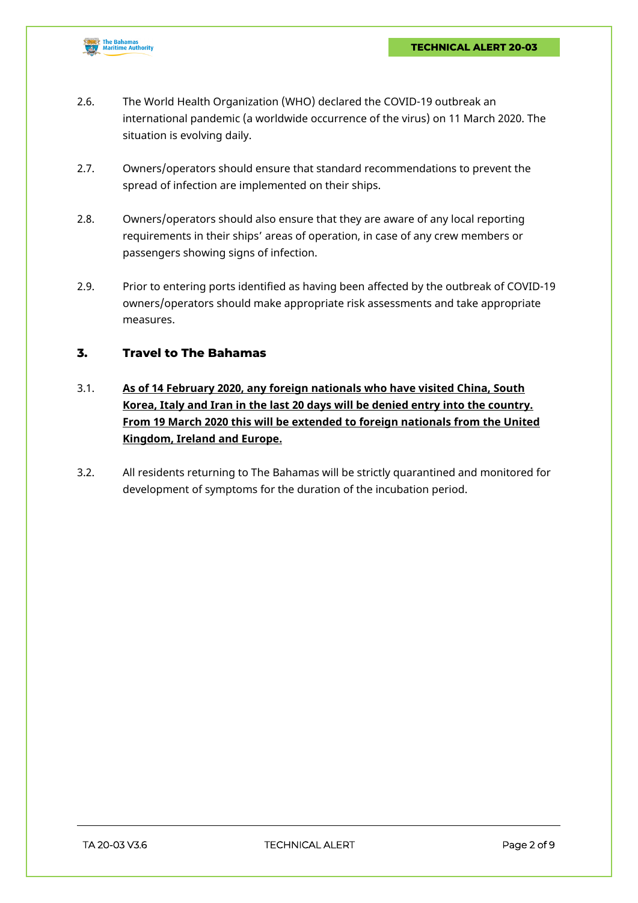

- 2.6. The World Health Organization (WHO) declared the COVID-19 outbreak an international pandemic (a worldwide occurrence of the virus) on 11 March 2020. The situation is evolving daily.
- 2.7. Owners/operators should ensure that standard recommendations to prevent the spread of infection are implemented on their ships.
- 2.8. Owners/operators should also ensure that they are aware of any local reporting requirements in their ships' areas of operation, in case of any crew members or passengers showing signs of infection.
- 2.9. Prior to entering ports identified as having been affected by the outbreak of COVID-19 owners/operators should make appropriate risk assessments and take appropriate measures.

# **3. Travel to The Bahamas**

- 3.1. **As of 14 February 2020, any foreign nationals who have visited China, South Korea, Italy and Iran in the last 20 days will be denied entry into the country. From 19 March 2020 this will be extended to foreign nationals from the United Kingdom, Ireland and Europe.**
- 3.2. All residents returning to The Bahamas will be strictly quarantined and monitored for development of symptoms for the duration of the incubation period.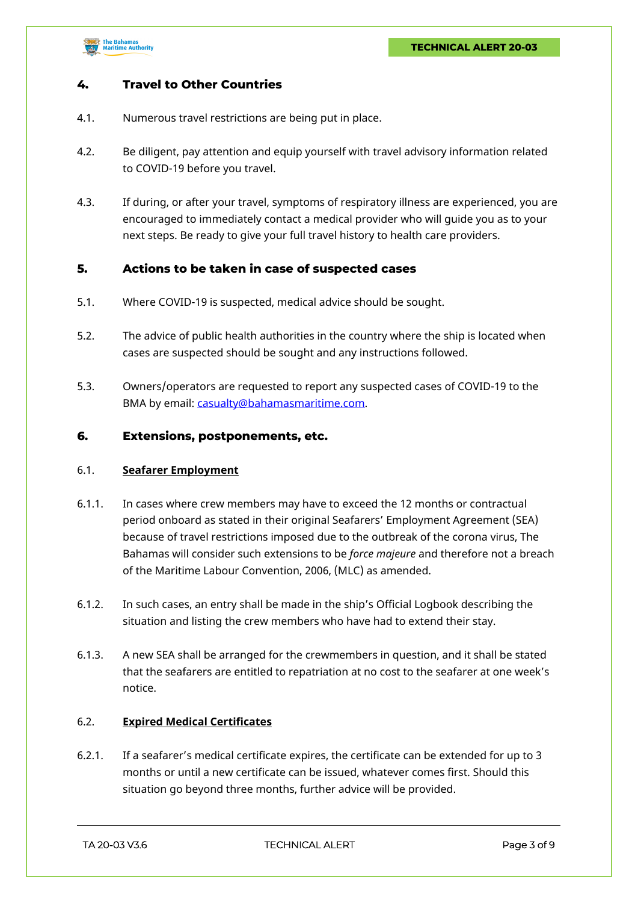

# **4. Travel to Other Countries**

- 4.1. Numerous travel restrictions are being put in place.
- 4.2. Be diligent, pay attention and equip yourself with travel advisory information related to COVID-19 before you travel.
- 4.3. If during, or after your travel, symptoms of respiratory illness are experienced, you are encouraged to immediately contact a medical provider who will guide you as to your next steps. Be ready to give your full travel history to health care providers.

#### **5. Actions to be taken in case of suspected cases**

- 5.1. Where COVID-19 is suspected, medical advice should be sought.
- 5.2. The advice of public health authorities in the country where the ship is located when cases are suspected should be sought and any instructions followed.
- 5.3. Owners/operators are requested to report any suspected cases of COVID-19 to the BMA by email: [casualty@bahamasmaritime.com.](mailto:casualty@bahamasmaritime.com)

#### **6. Extensions, postponements, etc.**

#### 6.1. **Seafarer Employment**

- 6.1.1. In cases where crew members may have to exceed the 12 months or contractual period onboard as stated in their original Seafarers' Employment Agreement (SEA) because of travel restrictions imposed due to the outbreak of the corona virus, The Bahamas will consider such extensions to be *force majeure* and therefore not a breach of the Maritime Labour Convention, 2006, (MLC) as amended.
- 6.1.2. In such cases, an entry shall be made in the ship's Official Logbook describing the situation and listing the crew members who have had to extend their stay.
- 6.1.3. A new SEA shall be arranged for the crewmembers in question, and it shall be stated that the seafarers are entitled to repatriation at no cost to the seafarer at one week's notice.

#### 6.2. **Expired Medical Certificates**

6.2.1. If a seafarer's medical certificate expires, the certificate can be extended for up to 3 months or until a new certificate can be issued, whatever comes first. Should this situation go beyond three months, further advice will be provided.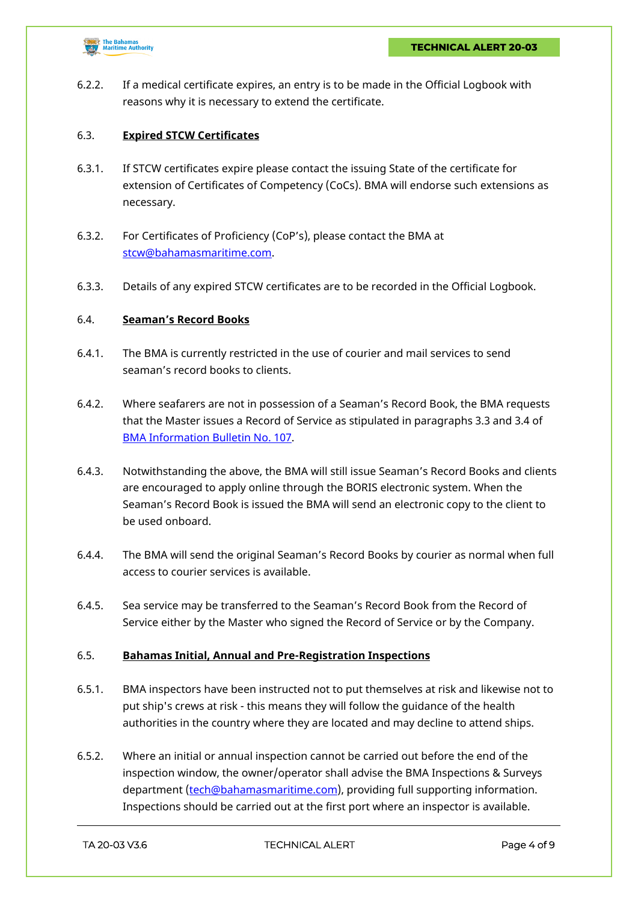

6.2.2. If a medical certificate expires, an entry is to be made in the Official Logbook with reasons why it is necessary to extend the certificate.

# 6.3. **Expired STCW Certificates**

- 6.3.1. If STCW certificates expire please contact the issuing State of the certificate for extension of Certificates of Competency (CoCs). BMA will endorse such extensions as necessary.
- 6.3.2. For Certificates of Proficiency (CoP's), please contact the BMA at [stcw@bahamasmaritime.com.](mailto:stcw@bahamasmaritime.com)
- 6.3.3. Details of any expired STCW certificates are to be recorded in the Official Logbook.

### 6.4. **Seaman's Record Books**

- 6.4.1. The BMA is currently restricted in the use of courier and mail services to send seaman's record books to clients.
- 6.4.2. Where seafarers are not in possession of a Seaman's Record Book, the BMA requests that the Master issues a Record of Service as stipulated in paragraphs 3.3 and 3.4 of [BMA Information Bulletin No. 107](https://www.bahamasmaritime.com/wp-content/uploads/2015/08/107bulltnrev03.pdf).
- 6.4.3. Notwithstanding the above, the BMA will still issue Seaman's Record Books and clients are encouraged to apply online through the BORIS electronic system. When the Seaman's Record Book is issued the BMA will send an electronic copy to the client to be used onboard.
- 6.4.4. The BMA will send the original Seaman's Record Books by courier as normal when full access to courier services is available.
- 6.4.5. Sea service may be transferred to the Seaman's Record Book from the Record of Service either by the Master who signed the Record of Service or by the Company.

# 6.5. **Bahamas Initial, Annual and Pre-Registration Inspections**

- 6.5.1. BMA inspectors have been instructed not to put themselves at risk and likewise not to put ship's crews at risk - this means they will follow the guidance of the health authorities in the country where they are located and may decline to attend ships.
- 6.5.2. Where an initial or annual inspection cannot be carried out before the end of the inspection window, the owner/operator shall advise the BMA Inspections & Surveys department ([tech@bahamasmaritime.com](mailto:tech@bahamasmaritime.com)), providing full supporting information. Inspections should be carried out at the first port where an inspector is available.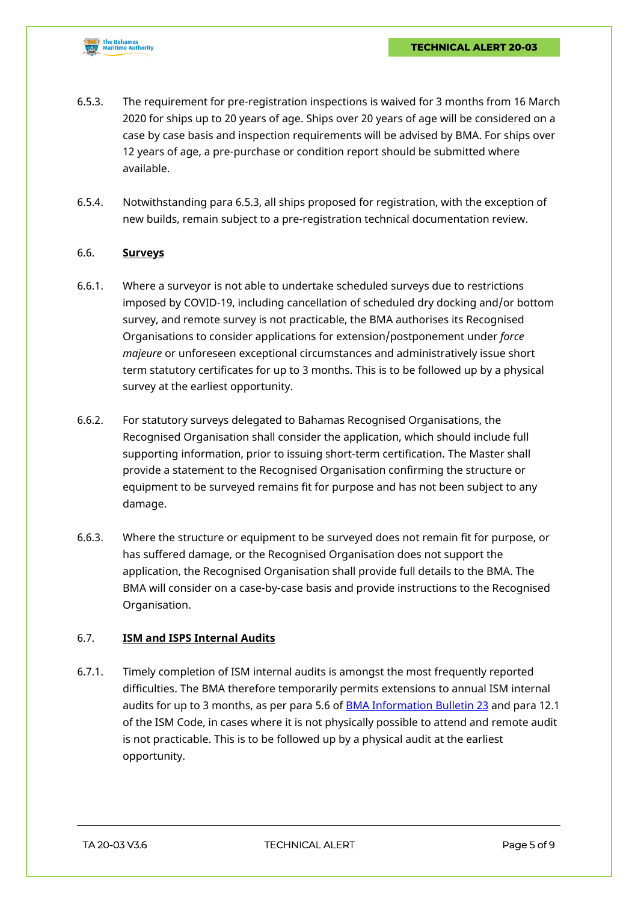

- 6.5.3. The requirement for pre-registration inspections is waived for 3 months from 16 March 2020 for ships up to 20 years of age. Ships over 20 years of age will be considered on a case by case basis and inspection requirements will be advised by BMA. For ships over 12 years of age, a pre-purchase or condition report should be submitted where available.
- 6.5.4. Notwithstanding para 6.5.3, all ships proposed for registration, with the exception of new builds, remain subject to a pre-registration technical documentation review.

#### 6.6. **Surveys**

- 6.6.1. Where a surveyor is not able to undertake scheduled surveys due to restrictions imposed by COVID-19, including cancellation of scheduled dry docking and/or bottom survey, and remote survey is not practicable, the BMA authorises its Recognised Organisations to consider applications for extension/postponement under *force majeure* or unforeseen exceptional circumstances and administratively issue short term statutory certificates for up to 3 months. This is to be followed up by a physical survey at the earliest opportunity.
- 6.6.2. For statutory surveys delegated to Bahamas Recognised Organisations, the Recognised Organisation shall consider the application, which should include full supporting information, prior to issuing short-term certification. The Master shall provide a statement to the Recognised Organisation confirming the structure or equipment to be surveyed remains fit for purpose and has not been subject to any damage.
- 6.6.3. Where the structure or equipment to be surveyed does not remain fit for purpose, or has suffered damage, or the Recognised Organisation does not support the application, the Recognised Organisation shall provide full details to the BMA. The BMA will consider on a case-by-case basis and provide instructions to the Recognised Organisation.

# 6.7. **ISM and ISPS Internal Audits**

6.7.1. Timely completion of ISM internal audits is amongst the most frequently reported difficulties. The BMA therefore temporarily permits extensions to annual ISM internal audits for up to 3 months, as per para 5.6 of **[BMA Information Bulletin 23](https://www.bahamasmaritime.com/wp-content/uploads/2015/08/23-ISM-Code-Rev6.pdf)** and para 12.1 of the ISM Code, in cases where it is not physically possible to attend and remote audit is not practicable. This is to be followed up by a physical audit at the earliest opportunity.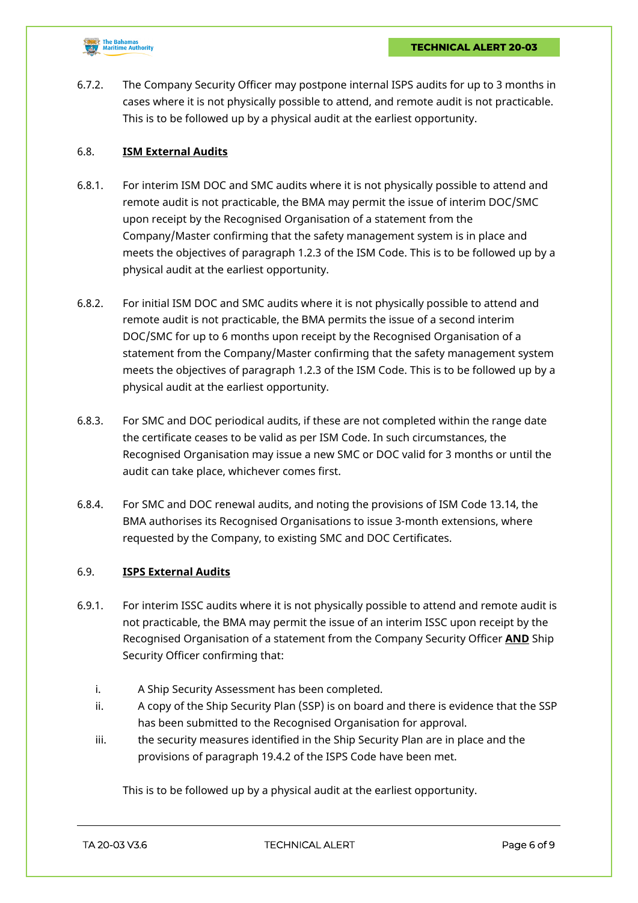

6.7.2. The Company Security Officer may postpone internal ISPS audits for up to 3 months in cases where it is not physically possible to attend, and remote audit is not practicable. This is to be followed up by a physical audit at the earliest opportunity.

#### 6.8. **ISM External Audits**

- 6.8.1. For interim ISM DOC and SMC audits where it is not physically possible to attend and remote audit is not practicable, the BMA may permit the issue of interim DOC/SMC upon receipt by the Recognised Organisation of a statement from the Company/Master confirming that the safety management system is in place and meets the objectives of paragraph 1.2.3 of the ISM Code. This is to be followed up by a physical audit at the earliest opportunity.
- 6.8.2. For initial ISM DOC and SMC audits where it is not physically possible to attend and remote audit is not practicable, the BMA permits the issue of a second interim DOC/SMC for up to 6 months upon receipt by the Recognised Organisation of a statement from the Company/Master confirming that the safety management system meets the objectives of paragraph 1.2.3 of the ISM Code. This is to be followed up by a physical audit at the earliest opportunity.
- 6.8.3. For SMC and DOC periodical audits, if these are not completed within the range date the certificate ceases to be valid as per ISM Code. In such circumstances, the Recognised Organisation may issue a new SMC or DOC valid for 3 months or until the audit can take place, whichever comes first.
- 6.8.4. For SMC and DOC renewal audits, and noting the provisions of ISM Code 13.14, the BMA authorises its Recognised Organisations to issue 3-month extensions, where requested by the Company, to existing SMC and DOC Certificates.

### 6.9. **ISPS External Audits**

- 6.9.1. For interim ISSC audits where it is not physically possible to attend and remote audit is not practicable, the BMA may permit the issue of an interim ISSC upon receipt by the Recognised Organisation of a statement from the Company Security Officer **AND** Ship Security Officer confirming that:
	- i. A Ship Security Assessment has been completed.
	- ii. A copy of the Ship Security Plan (SSP) is on board and there is evidence that the SSP has been submitted to the Recognised Organisation for approval.
	- iii. the security measures identified in the Ship Security Plan are in place and the provisions of paragraph 19.4.2 of the ISPS Code have been met.

This is to be followed up by a physical audit at the earliest opportunity.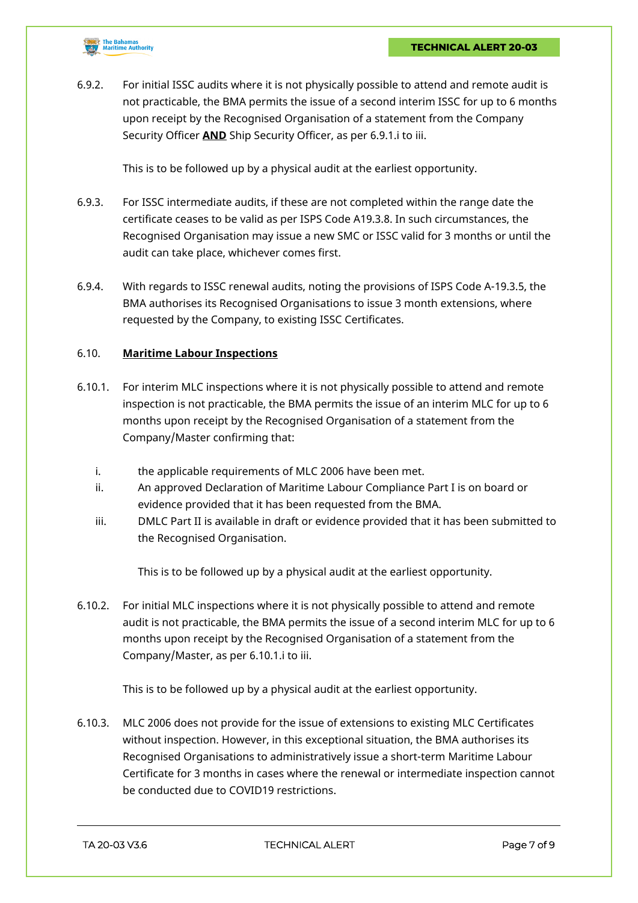

6.9.2. For initial ISSC audits where it is not physically possible to attend and remote audit is not practicable, the BMA permits the issue of a second interim ISSC for up to 6 months upon receipt by the Recognised Organisation of a statement from the Company Security Officer **AND** Ship Security Officer, as per 6.9.1.i to iii.

This is to be followed up by a physical audit at the earliest opportunity.

- 6.9.3. For ISSC intermediate audits, if these are not completed within the range date the certificate ceases to be valid as per ISPS Code A19.3.8. In such circumstances, the Recognised Organisation may issue a new SMC or ISSC valid for 3 months or until the audit can take place, whichever comes first.
- 6.9.4. With regards to ISSC renewal audits, noting the provisions of ISPS Code A-19.3.5, the BMA authorises its Recognised Organisations to issue 3 month extensions, where requested by the Company, to existing ISSC Certificates.

### 6.10. **Maritime Labour Inspections**

- 6.10.1. For interim MLC inspections where it is not physically possible to attend and remote inspection is not practicable, the BMA permits the issue of an interim MLC for up to 6 months upon receipt by the Recognised Organisation of a statement from the Company/Master confirming that:
	- i. the applicable requirements of MLC 2006 have been met.
	- ii. An approved Declaration of Maritime Labour Compliance Part I is on board or evidence provided that it has been requested from the BMA.
	- iii. DMLC Part II is available in draft or evidence provided that it has been submitted to the Recognised Organisation.

This is to be followed up by a physical audit at the earliest opportunity.

6.10.2. For initial MLC inspections where it is not physically possible to attend and remote audit is not practicable, the BMA permits the issue of a second interim MLC for up to 6 months upon receipt by the Recognised Organisation of a statement from the Company/Master, as per 6.10.1.i to iii.

This is to be followed up by a physical audit at the earliest opportunity.

6.10.3. MLC 2006 does not provide for the issue of extensions to existing MLC Certificates without inspection. However, in this exceptional situation, the BMA authorises its Recognised Organisations to administratively issue a short-term Maritime Labour Certificate for 3 months in cases where the renewal or intermediate inspection cannot be conducted due to COVID19 restrictions.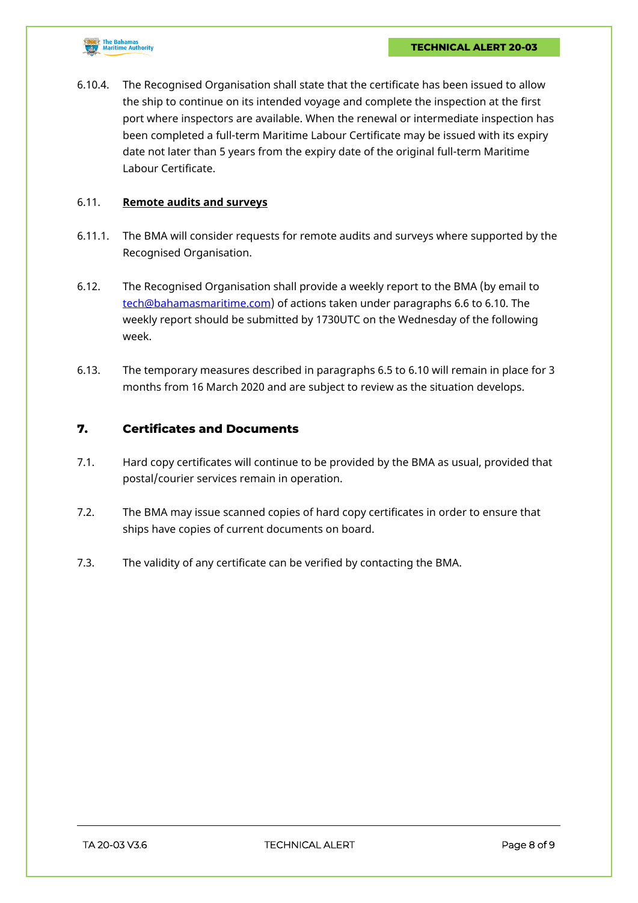

6.10.4. The Recognised Organisation shall state that the certificate has been issued to allow the ship to continue on its intended voyage and complete the inspection at the first port where inspectors are available. When the renewal or intermediate inspection has been completed a full-term Maritime Labour Certificate may be issued with its expiry date not later than 5 years from the expiry date of the original full-term Maritime Labour Certificate.

#### 6.11. **Remote audits and surveys**

- 6.11.1. The BMA will consider requests for remote audits and surveys where supported by the Recognised Organisation.
- 6.12. The Recognised Organisation shall provide a weekly report to the BMA (by email to [tech@bahamasmaritime.com\)](mailto:tech@bahamasmaritime.com) of actions taken under paragraphs 6.6 to 6.10. The weekly report should be submitted by 1730UTC on the Wednesday of the following week.
- 6.13. The temporary measures described in paragraphs 6.5 to 6.10 will remain in place for 3 months from 16 March 2020 and are subject to review as the situation develops.

### **7. Certificates and Documents**

- 7.1. Hard copy certificates will continue to be provided by the BMA as usual, provided that postal/courier services remain in operation.
- 7.2. The BMA may issue scanned copies of hard copy certificates in order to ensure that ships have copies of current documents on board.
- 7.3. The validity of any certificate can be verified by contacting the BMA.